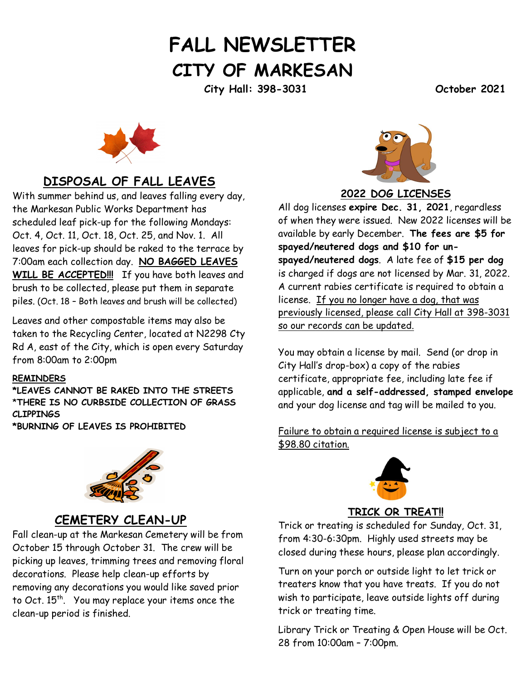# **FALL NEWSLETTER CITY OF MARKESAN**

**City Hall: 398-3031 October 2021** 



## **DISPOSAL OF FALL LEAVES**

With summer behind us, and leaves falling every day, the Markesan Public Works Department has scheduled leaf pick-up for the following Mondays: Oct. 4, Oct. 11, Oct. 18, Oct. 25, and Nov. 1. All leaves for pick-up should be raked to the terrace by 7:00am each collection day. **NO BAGGED LEAVES WILL BE ACCEPTED!!!** If you have both leaves and brush to be collected, please put them in separate piles. (Oct. 18 – Both leaves and brush will be collected)

Leaves and other compostable items may also be taken to the Recycling Center, located at N2298 Cty Rd A, east of the City, which is open every Saturday from 8:00am to 2:00pm

#### **REMINDERS**

**\*LEAVES CANNOT BE RAKED INTO THE STREETS** \***THERE IS NO CURBSIDE COLLECTION OF GRASS CLIPPINGS**

**\*BURNING OF LEAVES IS PROHIBITED**



## **CEMETERY CLEAN-UP**

Fall clean-up at the Markesan Cemetery will be from October 15 through October 31. The crew will be picking up leaves, trimming trees and removing floral decorations. Please help clean-up efforts by removing any decorations you would like saved prior to Oct. 15<sup>th</sup>. You may replace your items once the clean-up period is finished.



**2022 DOG LICENSES**

All dog licenses **expire Dec. 31, 2021**, regardless of when they were issued. New 2022 licenses will be available by early December. **The fees are \$5 for spayed/neutered dogs and \$10 for unspayed/neutered dogs**. A late fee of **\$15 per dog** is charged if dogs are not licensed by Mar. 31, 2022. A current rabies certificate is required to obtain a license. If you no longer have a dog, that was previously licensed, please call City Hall at 398-3031 so our records can be updated.

You may obtain a license by mail. Send (or drop in City Hall's drop-box) a copy of the rabies certificate, appropriate fee, including late fee if applicable, **and a self-addressed, stamped envelope** and your dog license and tag will be mailed to you.

Failure to obtain a required license is subject to a \$98.80 citation.



#### **TRICK OR TREAT!!**

Trick or treating is scheduled for Sunday, Oct. 31, from 4:30-6:30pm. Highly used streets may be closed during these hours, please plan accordingly.

Turn on your porch or outside light to let trick or treaters know that you have treats. If you do not wish to participate, leave outside lights off during trick or treating time.

Library Trick or Treating & Open House will be Oct. 28 from 10:00am – 7:00pm.